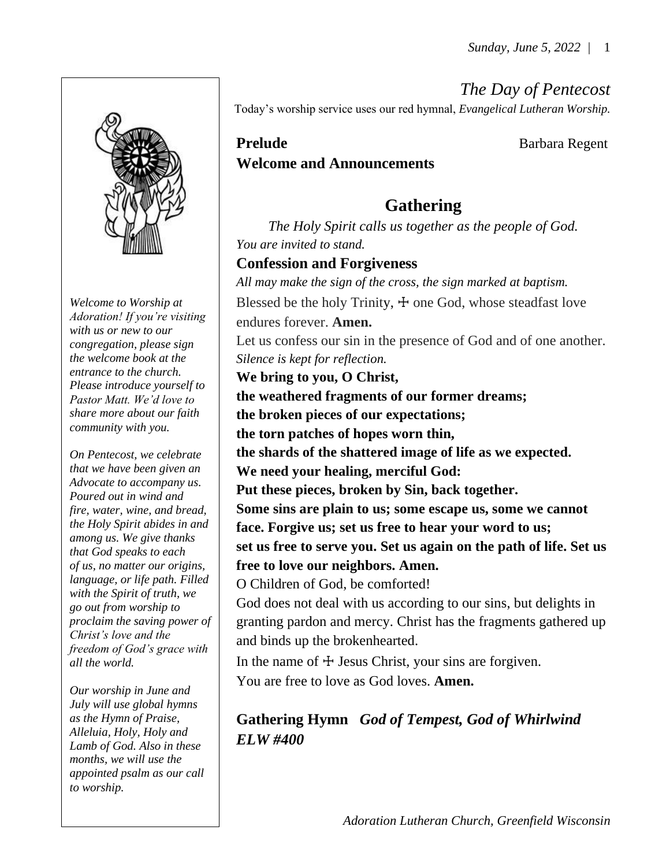*The Day of Pentecost*

Today's worship service uses our red hymnal, *Evangelical Lutheran Worship.*

## **Prelude Barbara Regent Welcome and Announcements**

# **Gathering**

*The Holy Spirit calls us together as the people of God. You are invited to stand.* 

## **Confession and Forgiveness**

*All may make the sign of the cross, the sign marked at baptism.* Blessed be the holy Trinity,  $\pm$  one God, whose steadfast love endures forever. **Amen.** Let us confess our sin in the presence of God and of one another. *Silence is kept for reflection.* **We bring to you, O Christ, the weathered fragments of our former dreams; the broken pieces of our expectations; the torn patches of hopes worn thin, the shards of the shattered image of life as we expected. We need your healing, merciful God: Put these pieces, broken by Sin, back together. Some sins are plain to us; some escape us, some we cannot face. Forgive us; set us free to hear your word to us; set us free to serve you. Set us again on the path of life. Set us free to love our neighbors. Amen.**  O Children of God, be comforted! God does not deal with us according to our sins, but delights in granting pardon and mercy. Christ has the fragments gathered up

and binds up the brokenhearted. In the name of  $\pm$  Jesus Christ, your sins are forgiven. You are free to love as God loves. **Amen.**

**Gathering Hymn** *God of Tempest, God of Whirlwind ELW #400*



*Welcome to Worship at Adoration! If you're visiting with us or new to our congregation, please sign the welcome book at the entrance to the church. Please introduce yourself to Pastor Matt. We'd love to share more about our faith community with you.*

*On Pentecost, we celebrate that we have been given an Advocate to accompany us. Poured out in wind and fire, water, wine, and bread, the Holy Spirit abides in and among us. We give thanks that God speaks to each of us, no matter our origins, language, or life path. Filled with the Spirit of truth, we go out from worship to proclaim the saving power of Christ's love and the freedom of God's grace with all the world.*

*Our worship in June and July will use global hymns as the Hymn of Praise, Alleluia, Holy, Holy and Lamb of God. Also in these months, we will use the appointed psalm as our call to worship.*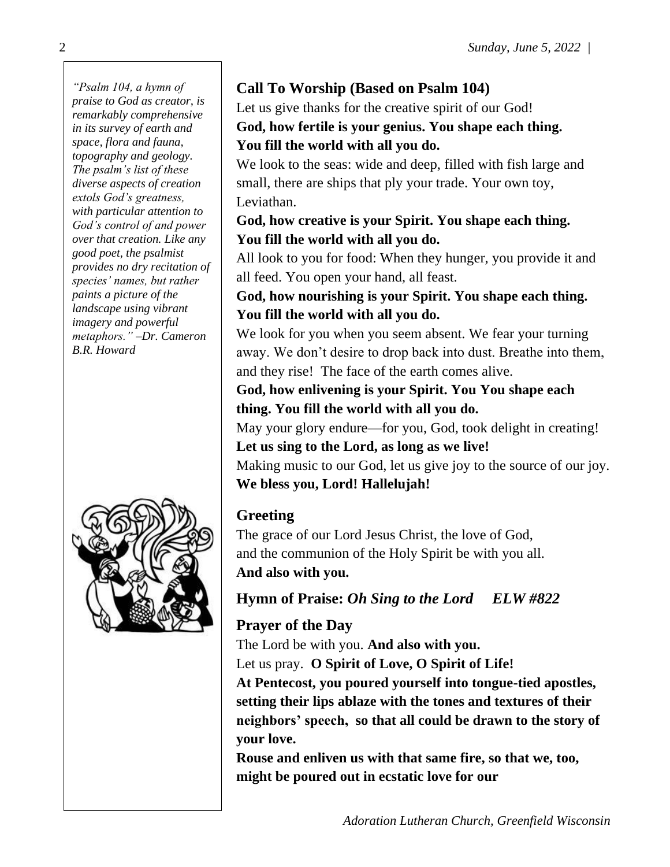*"Psalm 104, a hymn of praise to God as creator, is remarkably comprehensive in its survey of earth and space, flora and fauna, topography and geology. The psalm's list of these diverse aspects of creation extols God's greatness, with particular attention to God's control of and power over that creation. Like any good poet, the psalmist provides no dry recitation of species' names, but rather paints a picture of the landscape using vibrant imagery and powerful metaphors." –Dr. Cameron B.R. Howard*



## **Call To Worship (Based on Psalm 104)**

Let us give thanks for the creative spirit of our God! **God, how fertile is your genius. You shape each thing. You fill the world with all you do.**

We look to the seas: wide and deep, filled with fish large and small, there are ships that ply your trade. Your own toy, Leviathan.

## **God, how creative is your Spirit. You shape each thing. You fill the world with all you do.**

All look to you for food: When they hunger, you provide it and all feed. You open your hand, all feast.

## **God, how nourishing is your Spirit. You shape each thing. You fill the world with all you do.**

We look for you when you seem absent. We fear your turning away. We don't desire to drop back into dust. Breathe into them, and they rise! The face of the earth comes alive.

## **God, how enlivening is your Spirit. You You shape each thing. You fill the world with all you do.**

May your glory endure—for you, God, took delight in creating! **Let us sing to the Lord, as long as we live!** Making music to our God, let us give joy to the source of our joy.

## **We bless you, Lord! Hallelujah!**

# **Greeting**

The grace of our Lord Jesus Christ, the love of God, and the communion of the Holy Spirit be with you all. **And also with you.**

# **Hymn of Praise:** *Oh Sing to the Lord ELW #822*

# **Prayer of the Day**

The Lord be with you. **And also with you.** Let us pray. **O Spirit of Love, O Spirit of Life!**

**At Pentecost, you poured yourself into tongue-tied apostles, setting their lips ablaze with the tones and textures of their neighbors' speech, so that all could be drawn to the story of your love.**

**Rouse and enliven us with that same fire, so that we, too, might be poured out in ecstatic love for our**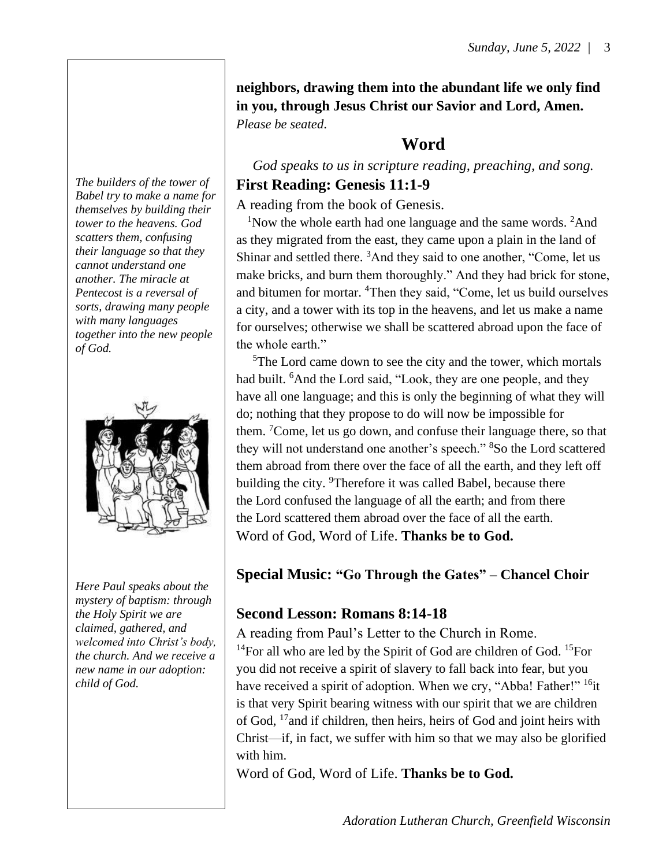**neighbors, drawing them into the abundant life we only find in you, through Jesus Christ our Savior and Lord, Amen.** *Please be seated*.

## **Word**

*God speaks to us in scripture reading, preaching, and song.* **First Reading: Genesis 11:1-9**

## A reading from the book of Genesis.

<sup>1</sup>Now the whole earth had one language and the same words.  ${}^{2}$ And as they migrated from the east, they came upon a plain in the land of Shinar and settled there. <sup>3</sup>And they said to one another, "Come, let us make bricks, and burn them thoroughly." And they had brick for stone, and bitumen for mortar. <sup>4</sup>Then they said, "Come, let us build ourselves a city, and a tower with its top in the heavens, and let us make a name for ourselves; otherwise we shall be scattered abroad upon the face of the whole earth."

<sup>5</sup>The Lord came down to see the city and the tower, which mortals had built. <sup>6</sup>And the Lord said, "Look, they are one people, and they have all one language; and this is only the beginning of what they will do; nothing that they propose to do will now be impossible for them. <sup>7</sup>Come, let us go down, and confuse their language there, so that they will not understand one another's speech." <sup>8</sup>So the Lord scattered them abroad from there over the face of all the earth, and they left off building the city. <sup>9</sup>Therefore it was called Babel, because there the Lord confused the language of all the earth; and from there the Lord scattered them abroad over the face of all the earth. Word of God, Word of Life. **Thanks be to God.** 

## **Special Music: "Go Through the Gates" – Chancel Choir**

#### **Second Lesson: Romans 8:14-18**

A reading from Paul's Letter to the Church in Rome.

<sup>14</sup>For all who are led by the Spirit of God are children of God. <sup>15</sup>For you did not receive a spirit of slavery to fall back into fear, but you have received a spirit of adoption. When we cry, "Abba! Father!" <sup>16</sup>it is that very Spirit bearing witness with our spirit that we are children of God, <sup>17</sup>and if children, then heirs, heirs of God and joint heirs with Christ—if, in fact, we suffer with him so that we may also be glorified with him.

Word of God, Word of Life. **Thanks be to God.**

*The builders of the tower of Babel try to make a name for themselves by building their tower to the heavens. God scatters them, confusing their language so that they cannot understand one another. The miracle at Pentecost is a reversal of sorts, drawing many people with many languages together into the new people of God.*



*Here Paul speaks about the mystery of baptism: through the Holy Spirit we are claimed, gathered, and welcomed into Christ's body, the church. And we receive a new name in our adoption: child of God.*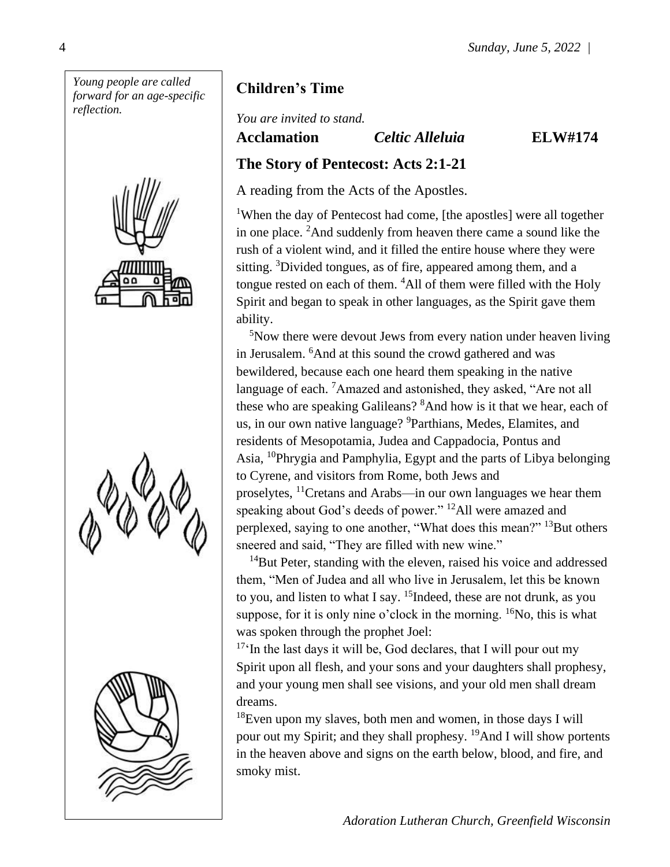







## **Children's Time**

*You are invited to stand.*

**Acclamation** *Celtic Alleluia* **ELW#174**

#### **The Story of Pentecost: Acts 2:1-21**

A reading from the Acts of the Apostles.

<sup>1</sup>When the day of Pentecost had come, [the apostles] were all together in one place. <sup>2</sup>And suddenly from heaven there came a sound like the rush of a violent wind, and it filled the entire house where they were sitting. <sup>3</sup>Divided tongues, as of fire, appeared among them, and a tongue rested on each of them. <sup>4</sup>All of them were filled with the Holy Spirit and began to speak in other languages, as the Spirit gave them ability.

<sup>5</sup>Now there were devout Jews from every nation under heaven living in Jerusalem. <sup>6</sup>And at this sound the crowd gathered and was bewildered, because each one heard them speaking in the native language of each. <sup>7</sup>Amazed and astonished, they asked, "Are not all these who are speaking Galileans? <sup>8</sup>And how is it that we hear, each of us, in our own native language? <sup>9</sup>Parthians, Medes, Elamites, and residents of Mesopotamia, Judea and Cappadocia, Pontus and Asia, <sup>10</sup>Phrygia and Pamphylia, Egypt and the parts of Libya belonging to Cyrene, and visitors from Rome, both Jews and proselytes, <sup>11</sup>Cretans and Arabs—in our own languages we hear them speaking about God's deeds of power." <sup>12</sup>All were amazed and perplexed, saying to one another, "What does this mean?" <sup>13</sup>But others sneered and said, "They are filled with new wine."

 $14$ But Peter, standing with the eleven, raised his voice and addressed them, "Men of Judea and all who live in Jerusalem, let this be known to you, and listen to what I say. <sup>15</sup>Indeed, these are not drunk, as you suppose, for it is only nine o'clock in the morning.  ${}^{16}$ No, this is what was spoken through the prophet Joel:

 $17<sup>17</sup>$ In the last days it will be, God declares, that I will pour out my Spirit upon all flesh, and your sons and your daughters shall prophesy, and your young men shall see visions, and your old men shall dream dreams.

 $18$ Even upon my slaves, both men and women, in those days I will pour out my Spirit; and they shall prophesy. <sup>19</sup>And I will show portents in the heaven above and signs on the earth below, blood, and fire, and smoky mist.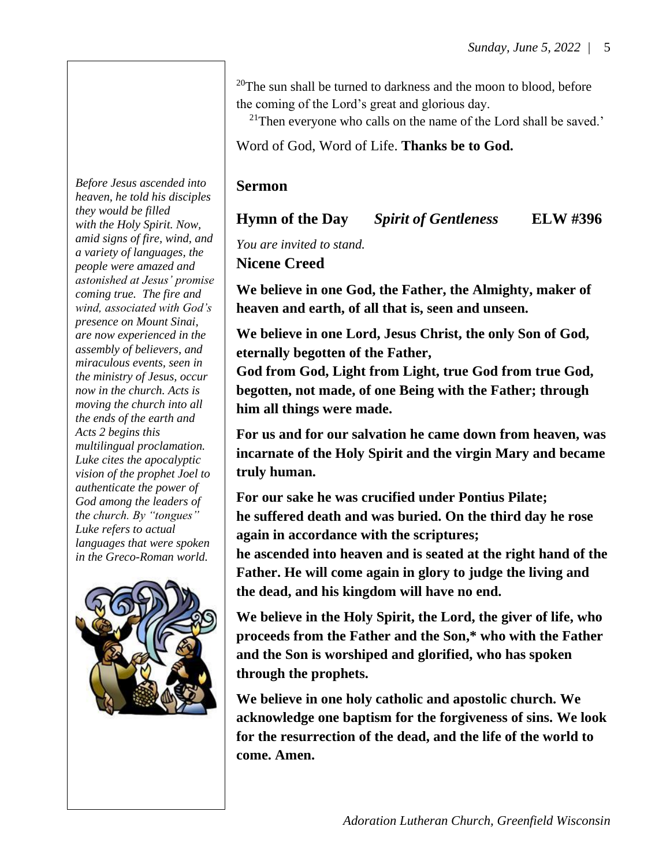<sup>20</sup>The sun shall be turned to darkness and the moon to blood, before the coming of the Lord's great and glorious day.

 $21$ Then everyone who calls on the name of the Lord shall be saved.'

Word of God, Word of Life. **Thanks be to God.**

#### **Sermon**

#### **Hymn of the Day** *Spirit of Gentleness* **ELW #396**

*You are invited to stand.*

**Nicene Creed**

**We believe in one God, the Father, the Almighty, maker of heaven and earth, of all that is, seen and unseen.**

**We believe in one Lord, Jesus Christ, the only Son of God, eternally begotten of the Father,**

**God from God, Light from Light, true God from true God, begotten, not made, of one Being with the Father; through him all things were made.**

**For us and for our salvation he came down from heaven, was incarnate of the Holy Spirit and the virgin Mary and became truly human.**

**For our sake he was crucified under Pontius Pilate; he suffered death and was buried. On the third day he rose again in accordance with the scriptures;**

**he ascended into heaven and is seated at the right hand of the Father. He will come again in glory to judge the living and the dead, and his kingdom will have no end.**

**We believe in the Holy Spirit, the Lord, the giver of life, who proceeds from the Father and the Son,\* who with the Father and the Son is worshiped and glorified, who has spoken through the prophets.**

**We believe in one holy catholic and apostolic church. We acknowledge one baptism for the forgiveness of sins. We look for the resurrection of the dead, and the life of the world to come. Amen.**

*Before Jesus ascended into heaven, he told his disciples they would be filled with the Holy Spirit. Now, amid signs of fire, wind, and a variety of languages, the people were amazed and astonished at Jesus' promise coming true. The fire and wind, associated with God's presence on Mount Sinai, are now experienced in the assembly of believers, and miraculous events, seen in the ministry of Jesus, occur now in the church. Acts is moving the church into all the ends of the earth and Acts 2 begins this multilingual proclamation. Luke cites the apocalyptic vision of the prophet Joel to authenticate the power of God among the leaders of the church. By "tongues" Luke refers to actual languages that were spoken in the Greco-Roman world.*

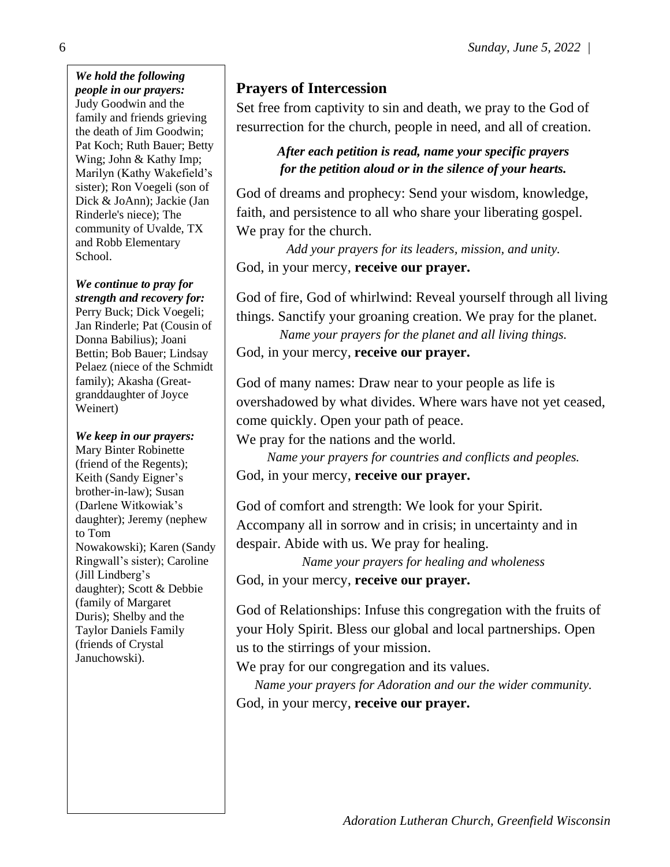*We hold the following people in our prayers:* Judy Goodwin and the family and friends grieving the death of Jim Goodwin; Pat Koch; Ruth Bauer; Betty Wing; John & Kathy Imp; Marilyn (Kathy Wakefield's sister); Ron Voegeli (son of Dick & JoAnn); Jackie (Jan Rinderle's niece); The community of Uvalde, TX and Robb Elementary School.

*We continue to pray for strength and recovery for:* Perry Buck; Dick Voegeli; Jan Rinderle; Pat (Cousin of Donna Babilius); Joani Bettin; Bob Bauer; Lindsay Pelaez (niece of the Schmidt family); Akasha (Greatgranddaughter of Joyce Weinert)

*We keep in our prayers:* Mary Binter Robinette (friend of the Regents); Keith (Sandy Eigner's brother-in-law); Susan (Darlene Witkowiak's daughter); Jeremy (nephew to Tom Nowakowski); Karen (Sandy Ringwall's sister); Caroline (Jill Lindberg's daughter); Scott & Debbie (family of Margaret Duris); Shelby and the Taylor Daniels Family (friends of Crystal Januchowski).

#### **Prayers of Intercession**

Set free from captivity to sin and death, we pray to the God of resurrection for the church, people in need, and all of creation.

> *After each petition is read, name your specific prayers for the petition aloud or in the silence of your hearts.*

God of dreams and prophecy: Send your wisdom, knowledge, faith, and persistence to all who share your liberating gospel. We pray for the church.

*Add your prayers for its leaders, mission, and unity.* God, in your mercy, **receive our prayer.**

God of fire, God of whirlwind: Reveal yourself through all living things. Sanctify your groaning creation. We pray for the planet.

*Name your prayers for the planet and all living things.*

God, in your mercy, **receive our prayer.**

God of many names: Draw near to your people as life is overshadowed by what divides. Where wars have not yet ceased, come quickly. Open your path of peace.

We pray for the nations and the world.

*Name your prayers for countries and conflicts and peoples.* God, in your mercy, **receive our prayer.**

God of comfort and strength: We look for your Spirit. Accompany all in sorrow and in crisis; in uncertainty and in despair. Abide with us. We pray for healing.

*Name your prayers for healing and wholeness* God, in your mercy, **receive our prayer.**

God of Relationships: Infuse this congregation with the fruits of your Holy Spirit. Bless our global and local partnerships. Open us to the stirrings of your mission.

We pray for our congregation and its values.

*Name your prayers for Adoration and our the wider community.* God, in your mercy, **receive our prayer.**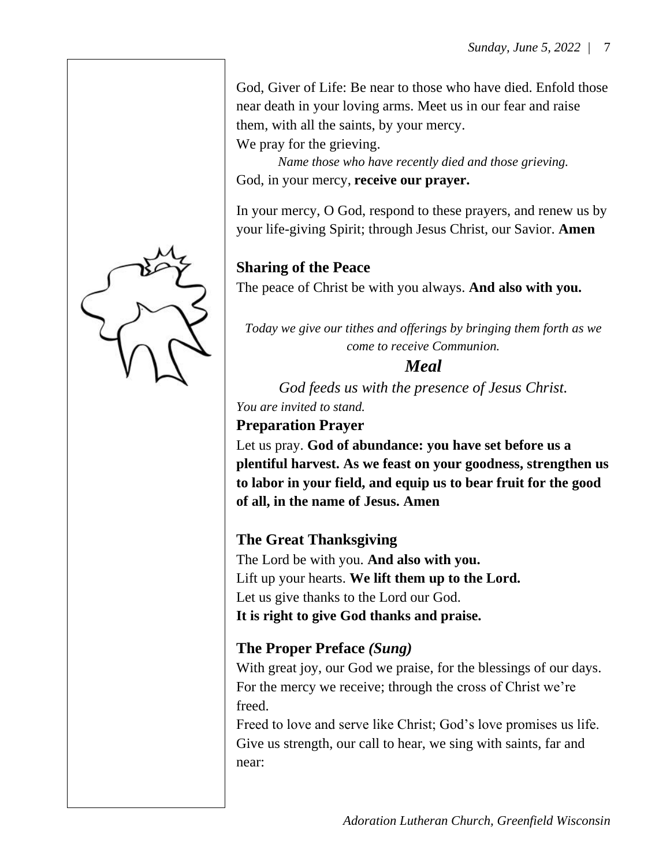God, Giver of Life: Be near to those who have died. Enfold those near death in your loving arms. Meet us in our fear and raise them, with all the saints, by your mercy.

We pray for the grieving.

*Name those who have recently died and those grieving.* God, in your mercy, **receive our prayer.**

In your mercy, O God, respond to these prayers, and renew us by your life-giving Spirit; through Jesus Christ, our Savior. **Amen**

## **Sharing of the Peace**

The peace of Christ be with you always. **And also with you.**

*Today we give our tithes and offerings by bringing them forth as we come to receive Communion.* 

## *Meal*

*God feeds us with the presence of Jesus Christ. You are invited to stand.*

# **Preparation Prayer**

Let us pray. **God of abundance: you have set before us a plentiful harvest. As we feast on your goodness, strengthen us to labor in your field, and equip us to bear fruit for the good of all, in the name of Jesus. Amen**

## **The Great Thanksgiving**

The Lord be with you. **And also with you.** Lift up your hearts. **We lift them up to the Lord.** Let us give thanks to the Lord our God. **It is right to give God thanks and praise.**

## **The Proper Preface** *(Sung)*

With great joy, our God we praise, for the blessings of our days. For the mercy we receive; through the cross of Christ we're freed.

Freed to love and serve like Christ; God's love promises us life. Give us strength, our call to hear, we sing with saints, far and near:

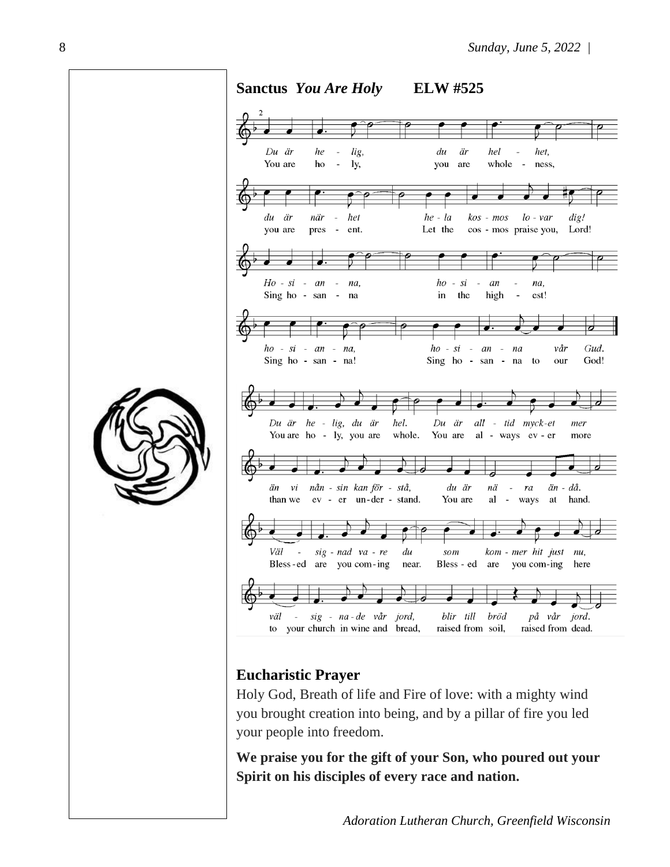

#### **Eucharistic Prayer**

Holy God, Breath of life and Fire of love: with a mighty wind you brought creation into being, and by a pillar of fire you led your people into freedom.

**We praise you for the gift of your Son, who poured out your Spirit on his disciples of every race and nation.**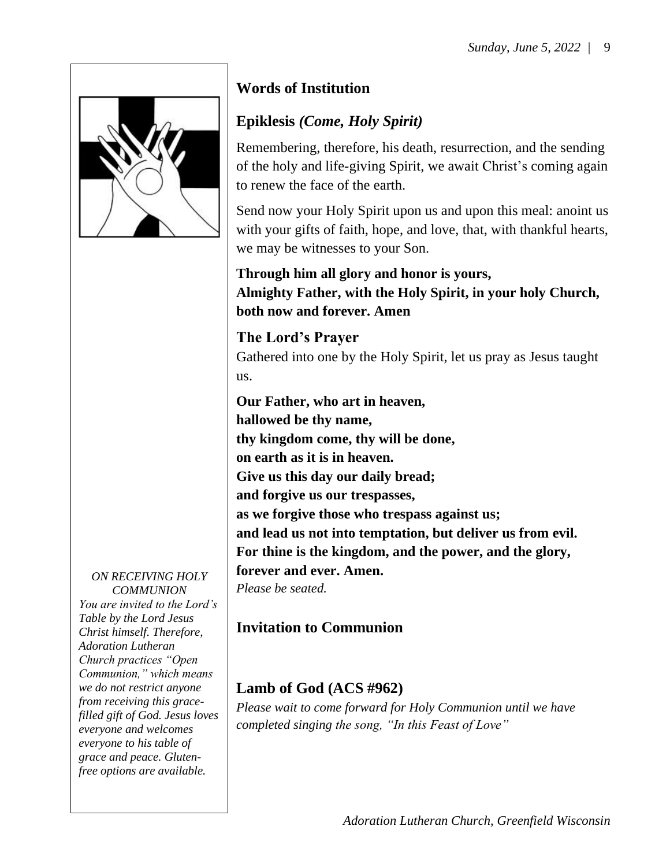

*ON RECEIVING HOLY COMMUNION You are invited to the Lord's Table by the Lord Jesus Christ himself. Therefore, Adoration Lutheran Church practices "Open Communion," which means we do not restrict anyone from receiving this gracefilled gift of God. Jesus loves everyone and welcomes everyone to his table of grace and peace. Glutenfree options are available.*

## **Words of Institution**

## **Epiklesis** *(Come, Holy Spirit)*

Remembering, therefore, his death, resurrection, and the sending of the holy and life-giving Spirit, we await Christ's coming again to renew the face of the earth.

Send now your Holy Spirit upon us and upon this meal: anoint us with your gifts of faith, hope, and love, that, with thankful hearts, we may be witnesses to your Son.

**Through him all glory and honor is yours, Almighty Father, with the Holy Spirit, in your holy Church, both now and forever. Amen**

**The Lord's Prayer** Gathered into one by the Holy Spirit, let us pray as Jesus taught us.

**Our Father, who art in heaven, hallowed be thy name, thy kingdom come, thy will be done, on earth as it is in heaven. Give us this day our daily bread; and forgive us our trespasses, as we forgive those who trespass against us; and lead us not into temptation, but deliver us from evil. For thine is the kingdom, and the power, and the glory, forever and ever. Amen.** *Please be seated.*

# **Invitation to Communion**

## **Lamb of God (ACS #962)**

*Please wait to come forward for Holy Communion until we have completed singing the song, "In this Feast of Love"*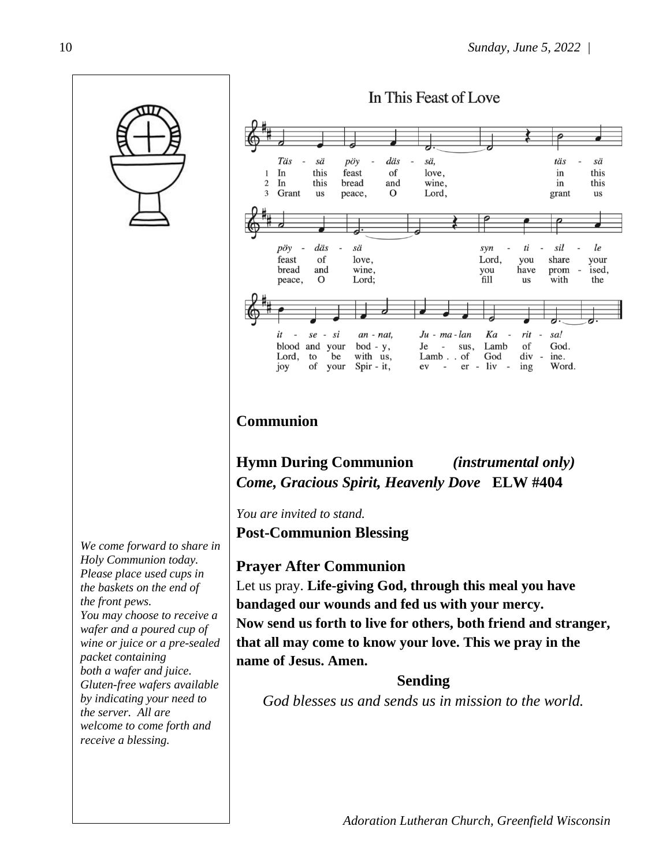

*We come forward to share in Holy Communion today. Please place used cups in the baskets on the end of the front pews. You may choose to receive a wafer and a poured cup of wine or juice or a pre-sealed packet containing both a wafer and juice. Gluten-free wafers available by indicating your need to the server. All are welcome to come forth and receive a blessing.*



## **Communion**

**Hymn During Communion** *(instrumental only) Come, Gracious Spirit, Heavenly Dove* **ELW #404** 

*You are invited to stand.* **Post-Communion Blessing**

#### **Prayer After Communion**

Let us pray. **Life-giving God, through this meal you have bandaged our wounds and fed us with your mercy. Now send us forth to live for others, both friend and stranger, that all may come to know your love. This we pray in the name of Jesus. Amen.**

#### **Sending**

*God blesses us and sends us in mission to the world.*